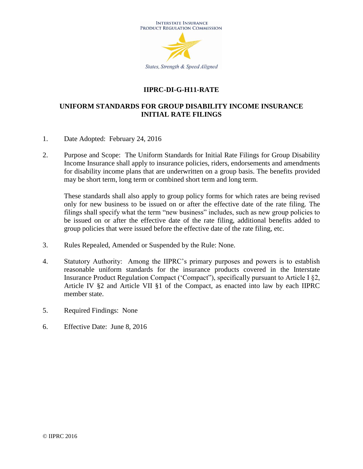

## **IIPRC-DI-G-H11-RATE**

## **UNIFORM STANDARDS FOR GROUP DISABILITY INCOME INSURANCE INITIAL RATE FILINGS**

- 1. Date Adopted: February 24, 2016
- 2. Purpose and Scope: The Uniform Standards for Initial Rate Filings for Group Disability Income Insurance shall apply to insurance policies, riders, endorsements and amendments for disability income plans that are underwritten on a group basis. The benefits provided may be short term, long term or combined short term and long term.

These standards shall also apply to group policy forms for which rates are being revised only for new business to be issued on or after the effective date of the rate filing. The filings shall specify what the term "new business" includes, such as new group policies to be issued on or after the effective date of the rate filing, additional benefits added to group policies that were issued before the effective date of the rate filing, etc.

- 3. Rules Repealed, Amended or Suspended by the Rule: None.
- 4. Statutory Authority: Among the IIPRC's primary purposes and powers is to establish reasonable uniform standards for the insurance products covered in the Interstate Insurance Product Regulation Compact ('Compact"), specifically pursuant to Article I §2, Article IV §2 and Article VII §1 of the Compact, as enacted into law by each IIPRC member state.
- 5. Required Findings: None
- 6. Effective Date: June 8, 2016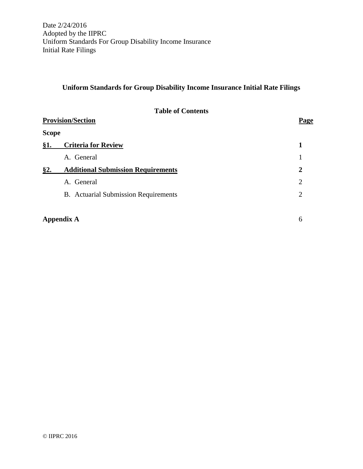# **Uniform Standards for Group Disability Income Insurance Initial Rate Filings**

|              | <b>Table of Contents</b>                    |   |  |  |
|--------------|---------------------------------------------|---|--|--|
|              | <b>Provision/Section</b>                    |   |  |  |
| <b>Scope</b> |                                             |   |  |  |
| §1.          | <b>Criteria for Review</b>                  | 1 |  |  |
|              | A. General                                  |   |  |  |
| §2.          | <b>Additional Submission Requirements</b>   | 2 |  |  |
|              | A. General                                  | 2 |  |  |
|              | <b>B.</b> Actuarial Submission Requirements | 2 |  |  |
|              |                                             |   |  |  |

| <b>Appendix A</b> |  |
|-------------------|--|
|-------------------|--|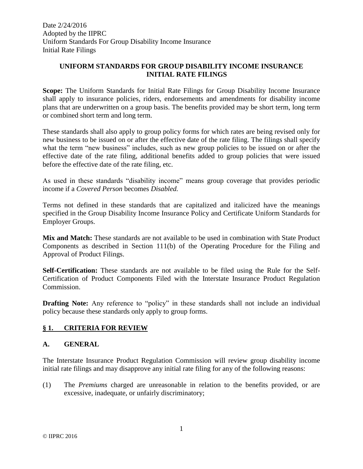#### **UNIFORM STANDARDS FOR GROUP DISABILITY INCOME INSURANCE INITIAL RATE FILINGS**

**Scope:** The Uniform Standards for Initial Rate Filings for Group Disability Income Insurance shall apply to insurance policies, riders, endorsements and amendments for disability income plans that are underwritten on a group basis. The benefits provided may be short term, long term or combined short term and long term.

These standards shall also apply to group policy forms for which rates are being revised only for new business to be issued on or after the effective date of the rate filing. The filings shall specify what the term "new business" includes, such as new group policies to be issued on or after the effective date of the rate filing, additional benefits added to group policies that were issued before the effective date of the rate filing, etc.

As used in these standards "disability income" means group coverage that provides periodic income if a *Covered Person* becomes *Disabled.*

Terms not defined in these standards that are capitalized and italicized have the meanings specified in the Group Disability Income Insurance Policy and Certificate Uniform Standards for Employer Groups.

Mix and Match: These standards are not available to be used in combination with State Product Components as described in Section 111(b) of the Operating Procedure for the Filing and Approval of Product Filings.

**Self-Certification:** These standards are not available to be filed using the Rule for the Self-Certification of Product Components Filed with the Interstate Insurance Product Regulation Commission.

**Drafting Note:** Any reference to "policy" in these standards shall not include an individual policy because these standards only apply to group forms.

#### **§ 1. CRITERIA FOR REVIEW**

#### **A. GENERAL**

The Interstate Insurance Product Regulation Commission will review group disability income initial rate filings and may disapprove any initial rate filing for any of the following reasons:

(1) The *Premiums* charged are unreasonable in relation to the benefits provided, or are excessive, inadequate, or unfairly discriminatory;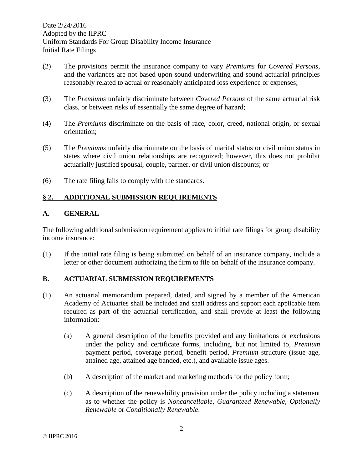- (2) The provisions permit the insurance company to vary *Premiums* for *Covered Persons*, and the variances are not based upon sound underwriting and sound actuarial principles reasonably related to actual or reasonably anticipated loss experience or expenses;
- (3) The *Premiums* unfairly discriminate between *Covered Persons* of the same actuarial risk class, or between risks of essentially the same degree of hazard;
- (4) The *Premiums* discriminate on the basis of race, color, creed, national origin, or sexual orientation;
- (5) The *Premiums* unfairly discriminate on the basis of marital status or civil union status in states where civil union relationships are recognized; however, this does not prohibit actuarially justified spousal, couple, partner, or civil union discounts; or
- (6) The rate filing fails to comply with the standards.

## **§ 2. ADDITIONAL SUBMISSION REQUIREMENTS**

#### **A. GENERAL**

The following additional submission requirement applies to initial rate filings for group disability income insurance:

(1) If the initial rate filing is being submitted on behalf of an insurance company, include a letter or other document authorizing the firm to file on behalf of the insurance company.

#### **B. ACTUARIAL SUBMISSION REQUIREMENTS**

- (1) An actuarial memorandum prepared, dated, and signed by a member of the American Academy of Actuaries shall be included and shall address and support each applicable item required as part of the actuarial certification, and shall provide at least the following information:
	- (a) A general description of the benefits provided and any limitations or exclusions under the policy and certificate forms, including, but not limited to, *Premium* payment period, coverage period, benefit period, *Premium* structure (issue age, attained age, attained age banded, etc.), and available issue ages.
	- (b) A description of the market and marketing methods for the policy form;
	- (c) A description of the renewability provision under the policy including a statement as to whether the policy is *Noncancellable*, *Guaranteed Renewable*, *Optionally Renewable* or *Conditionally Renewable*.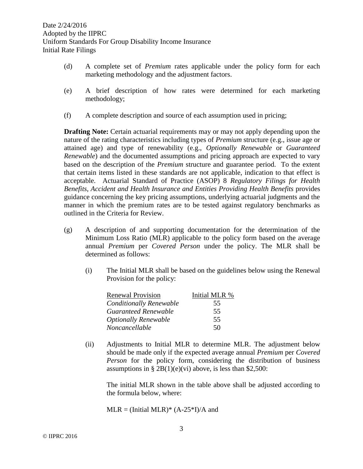- (d) A complete set of *Premium* rates applicable under the policy form for each marketing methodology and the adjustment factors.
- (e) A brief description of how rates were determined for each marketing methodology;
- (f) A complete description and source of each assumption used in pricing;

**Drafting Note:** Certain actuarial requirements may or may not apply depending upon the nature of the rating characteristics including types of *Premium* structure (e.g., issue age or attained age) and type of renewability (e.g., *Optionally Renewable* or *Guaranteed Renewable*) and the documented assumptions and pricing approach are expected to vary based on the description of the *Premium* structure and guarantee period. To the extent that certain items listed in these standards are not applicable, indication to that effect is acceptable. Actuarial Standard of Practice (ASOP) 8 *Regulatory Filings for Health Benefits, Accident and Health Insurance and Entities Providing Health Benefits* provides guidance concerning the key pricing assumptions, underlying actuarial judgments and the manner in which the premium rates are to be tested against regulatory benchmarks as outlined in the Criteria for Review.

- (g) A description of and supporting documentation for the determination of the Minimum Loss Ratio (MLR) applicable to the policy form based on the average annual *Premium* per *Covered Person* under the policy. The MLR shall be determined as follows:
	- (i) The Initial MLR shall be based on the guidelines below using the Renewal Provision for the policy:

| <b>Renewal Provision</b>       | Initial MLR % |
|--------------------------------|---------------|
| <b>Conditionally Renewable</b> | 55            |
| Guaranteed Renewable           | 55            |
| <b>Optionally Renewable</b>    | 55            |
| Noncancellable                 | 50            |

(ii) Adjustments to Initial MLR to determine MLR. The adjustment below should be made only if the expected average annual *Premium* per *Covered Person* for the policy form, considering the distribution of business assumptions in  $\S 2B(1)(e)(vi)$  above, is less than \$2,500:

The initial MLR shown in the table above shall be adjusted according to the formula below, where:

 $MLR = (Initial MLR)* (A-25*I)/A$  and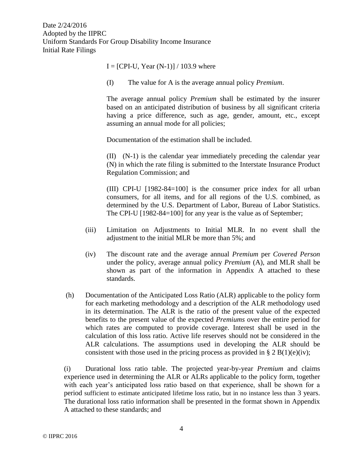$I = [CPI-U, Year (N-1)] / 103.9$  where

(I) The value for A is the average annual policy *Premium*.

The average annual policy *Premium* shall be estimated by the insurer based on an anticipated distribution of business by all significant criteria having a price difference, such as age, gender, amount, etc., except assuming an annual mode for all policies;

Documentation of the estimation shall be included.

(II) (N-1) is the calendar year immediately preceding the calendar year (N) in which the rate filing is submitted to the Interstate Insurance Product Regulation Commission; and

(III) CPI-U [1982-84=100] is the consumer price index for all urban consumers, for all items, and for all regions of the U.S. combined, as determined by the U.S. Department of Labor, Bureau of Labor Statistics. The CPI-U [1982-84=100] for any year is the value as of September;

- (iii) Limitation on Adjustments to Initial MLR. In no event shall the adjustment to the initial MLR be more than 5%; and
- (iv) The discount rate and the average annual *Premium* per *Covered Person* under the policy, average annual policy *Premium* (A), and MLR shall be shown as part of the information in Appendix A attached to these standards.
- (h) Documentation of the Anticipated Loss Ratio (ALR) applicable to the policy form for each marketing methodology and a description of the ALR methodology used in its determination. The ALR is the ratio of the present value of the expected benefits to the present value of the expected *Premiums* over the entire period for which rates are computed to provide coverage. Interest shall be used in the calculation of this loss ratio. Active life reserves should not be considered in the ALR calculations. The assumptions used in developing the ALR should be consistent with those used in the pricing process as provided in § 2 B(1)(e)(iv);

(i) Durational loss ratio table. The projected year-by-year *Premium* and claims experience used in determining the ALR or ALRs applicable to the policy form, together with each year's anticipated loss ratio based on that experience, shall be shown for a period sufficient to estimate anticipated lifetime loss ratio, but in no instance less than 3 years. The durational loss ratio information shall be presented in the format shown in Appendix A attached to these standards; and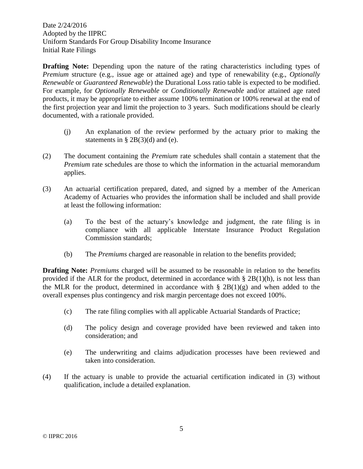**Drafting Note:** Depending upon the nature of the rating characteristics including types of *Premium* structure (e.g., issue age or attained age) and type of renewability (e.g., *Optionally Renewable* or *Guaranteed Renewable*) the Durational Loss ratio table is expected to be modified. For example, for *Optionally Renewable* or *Conditionally Renewable* and/or attained age rated products, it may be appropriate to either assume 100% termination or 100% renewal at the end of the first projection year and limit the projection to 3 years. Such modifications should be clearly documented, with a rationale provided.

- (j) An explanation of the review performed by the actuary prior to making the statements in  $\S 2B(3)(d)$  and (e).
- (2) The document containing the *Premium* rate schedules shall contain a statement that the *Premium* rate schedules are those to which the information in the actuarial memorandum applies.
- (3) An actuarial certification prepared, dated, and signed by a member of the American Academy of Actuaries who provides the information shall be included and shall provide at least the following information:
	- (a) To the best of the actuary's knowledge and judgment, the rate filing is in compliance with all applicable Interstate Insurance Product Regulation Commission standards;
	- (b) The *Premiums* charged are reasonable in relation to the benefits provided;

**Drafting Note:** *Premiums* charged will be assumed to be reasonable in relation to the benefits provided if the ALR for the product, determined in accordance with  $\S 2B(1)(h)$ , is not less than the MLR for the product, determined in accordance with  $\S 2B(1)(g)$  and when added to the overall expenses plus contingency and risk margin percentage does not exceed 100%.

- (c) The rate filing complies with all applicable Actuarial Standards of Practice;
- (d) The policy design and coverage provided have been reviewed and taken into consideration; and
- (e) The underwriting and claims adjudication processes have been reviewed and taken into consideration.
- (4) If the actuary is unable to provide the actuarial certification indicated in (3) without qualification, include a detailed explanation.